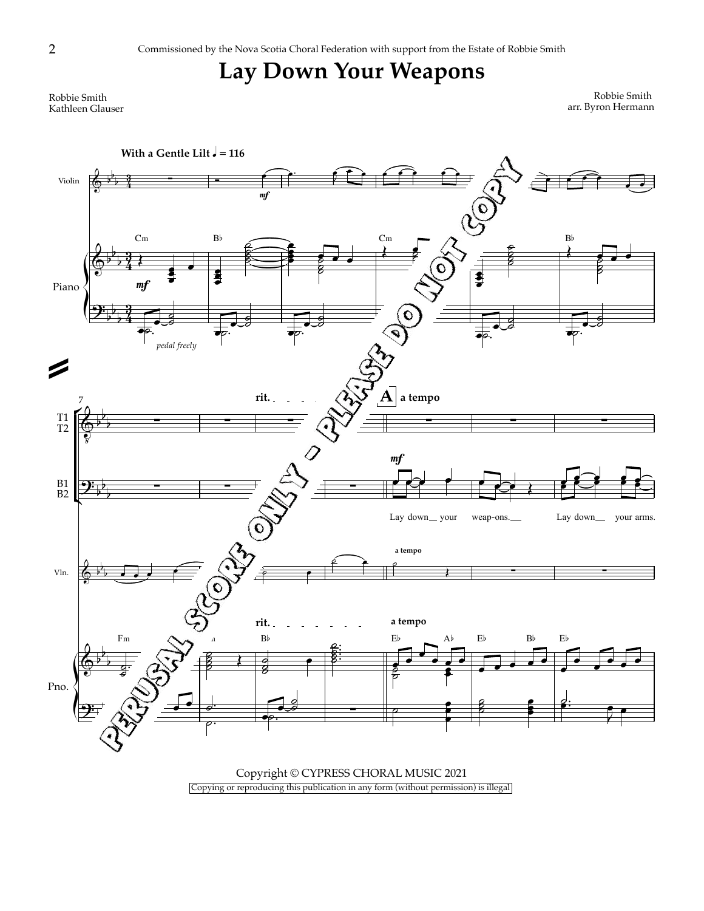## **Lay Down Your Weapons**

Kathleen Glauser

Robbie Smith<br>arr. Byron Hermann arr. Byron Hermann Robbie Smith



Copyright © CYPRESS CHORAL MUSIC 2021 Copying or reproducing this publication in any form (without permission) is illegal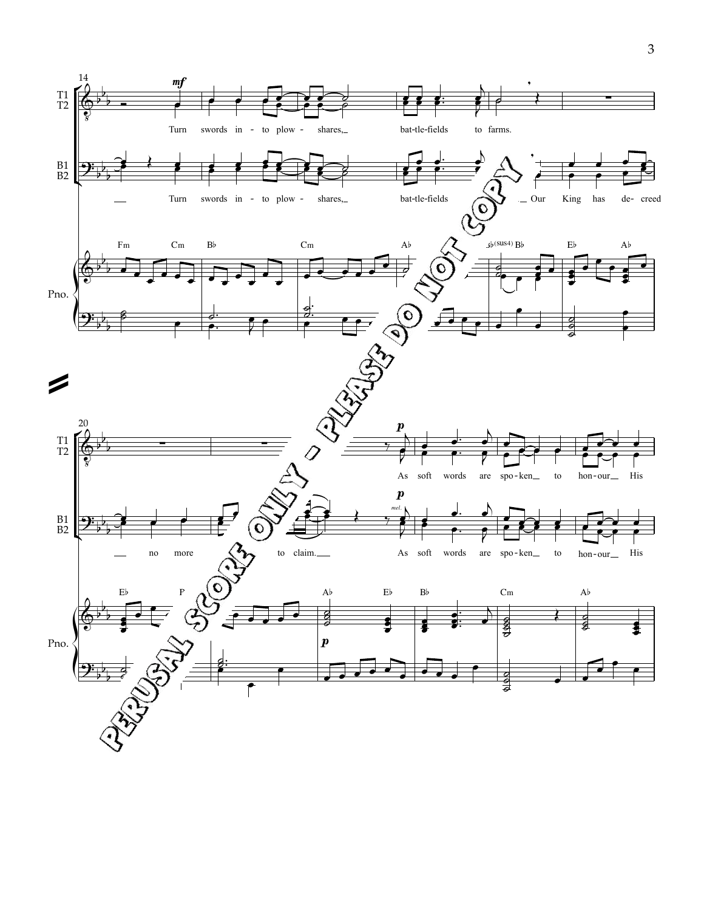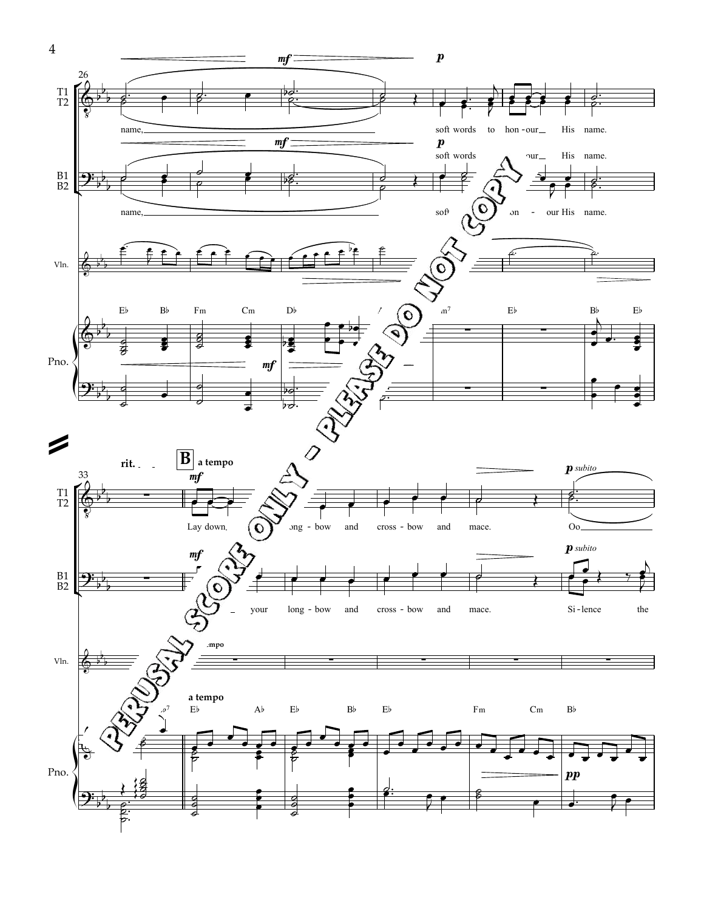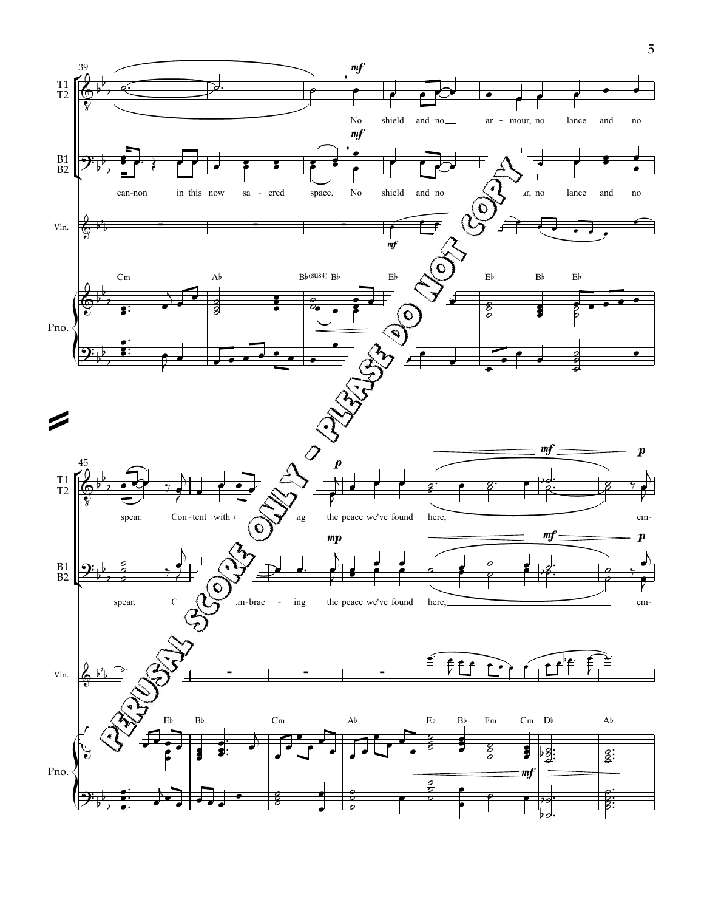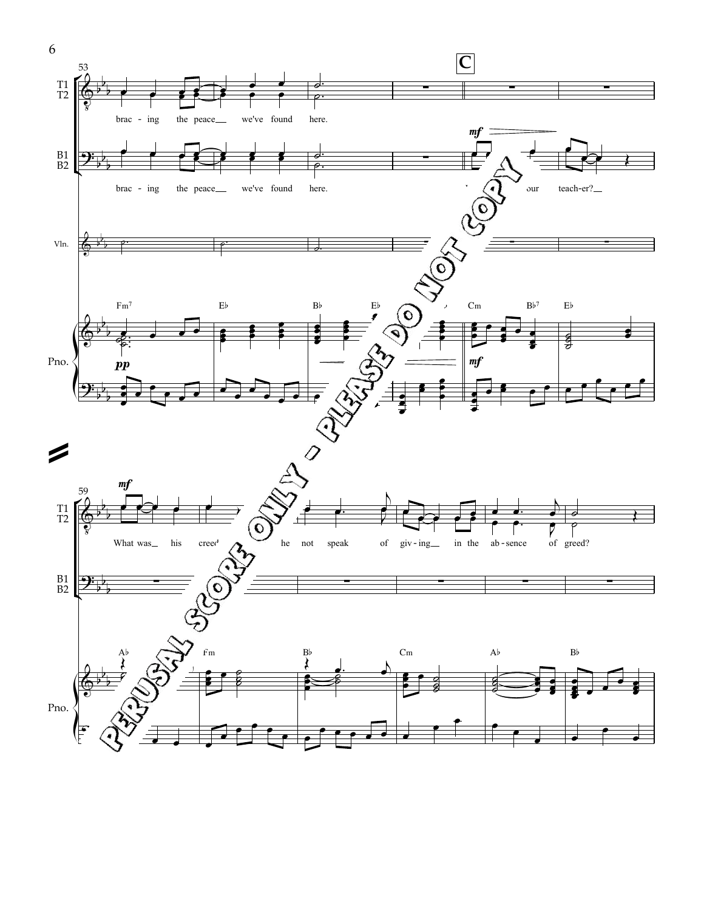

6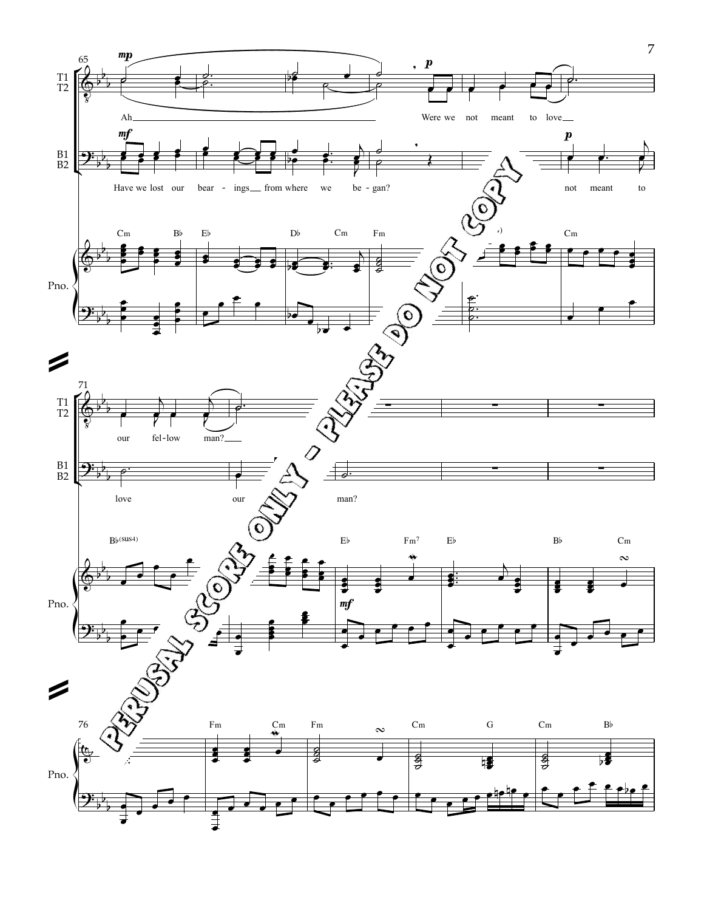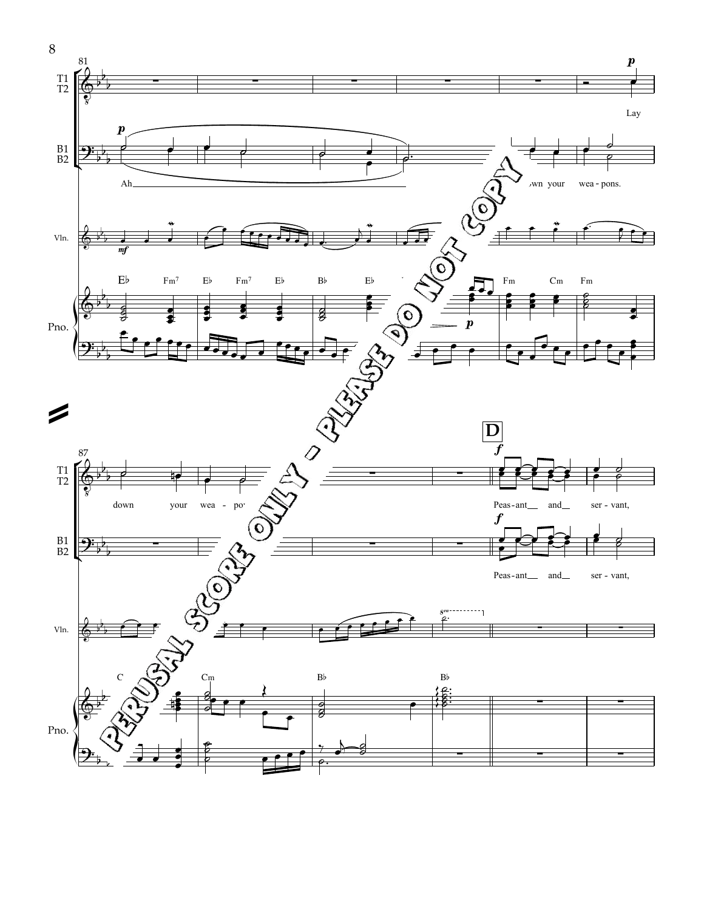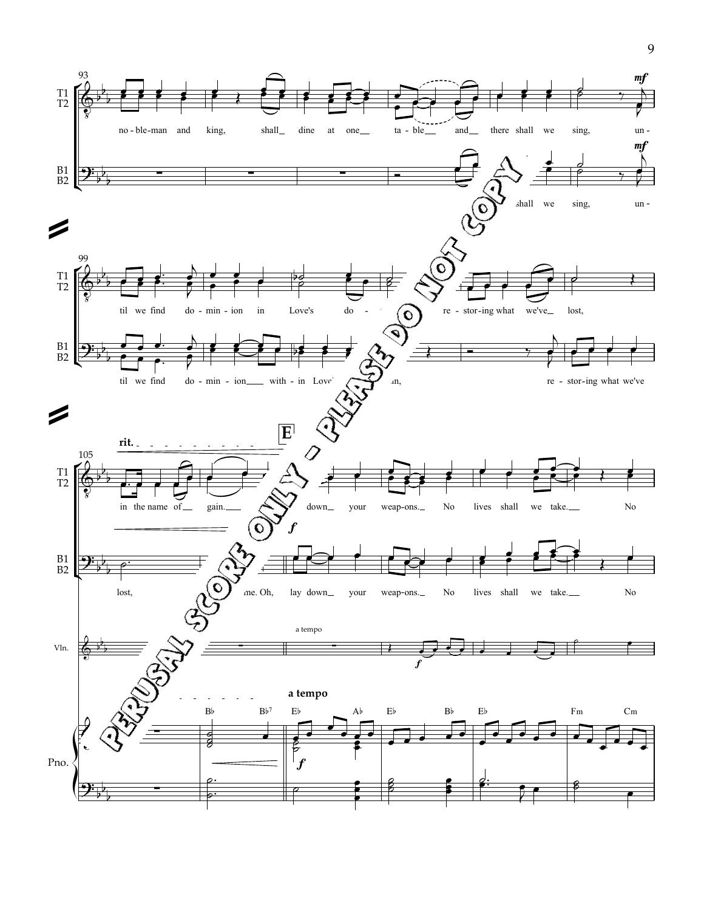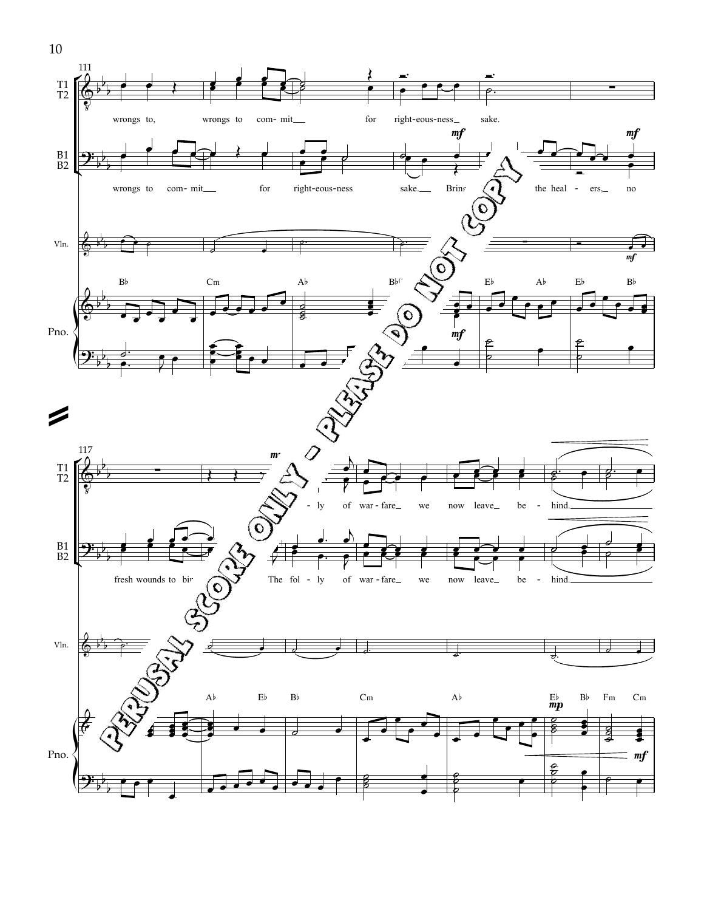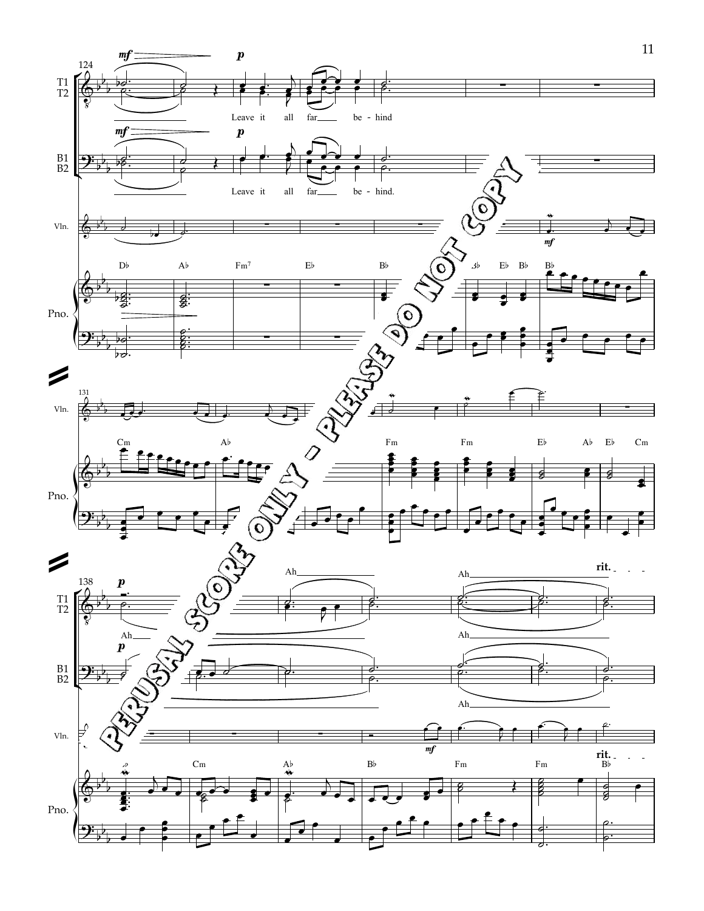![](_page_9_Figure_0.jpeg)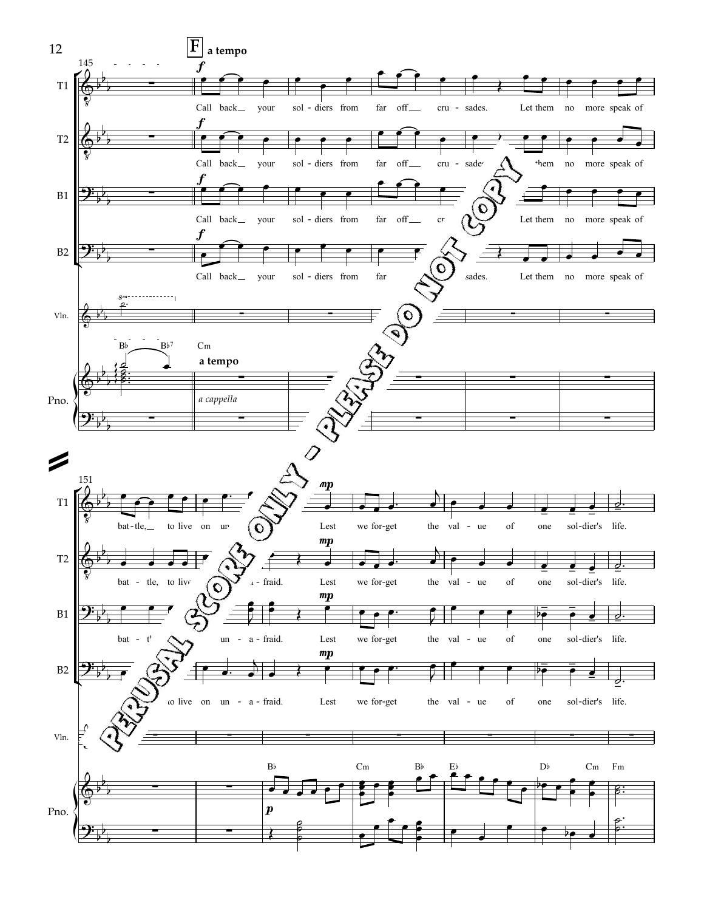![](_page_10_Figure_0.jpeg)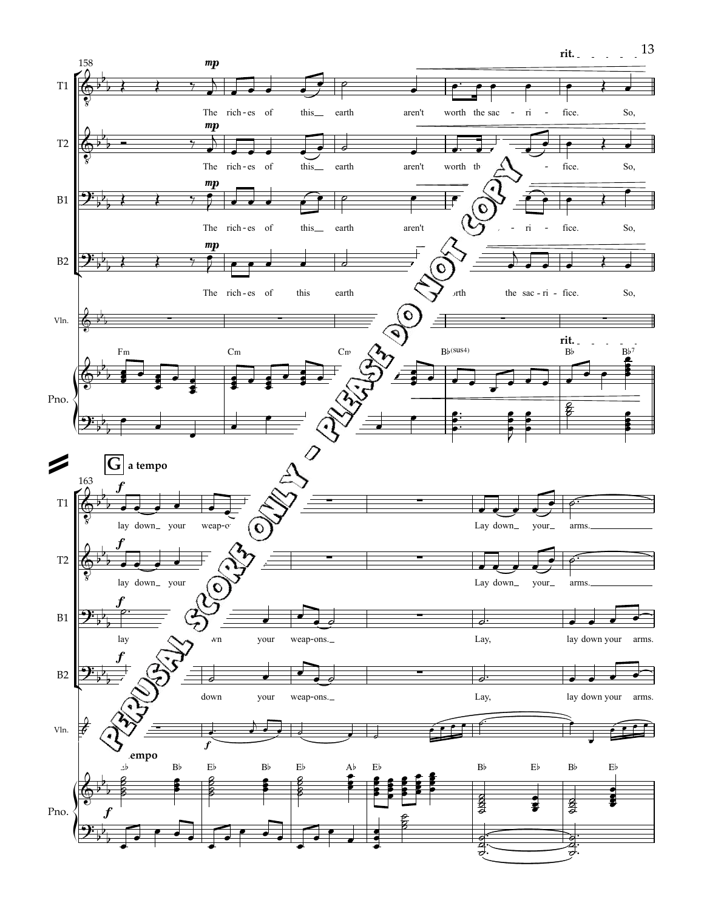![](_page_11_Figure_0.jpeg)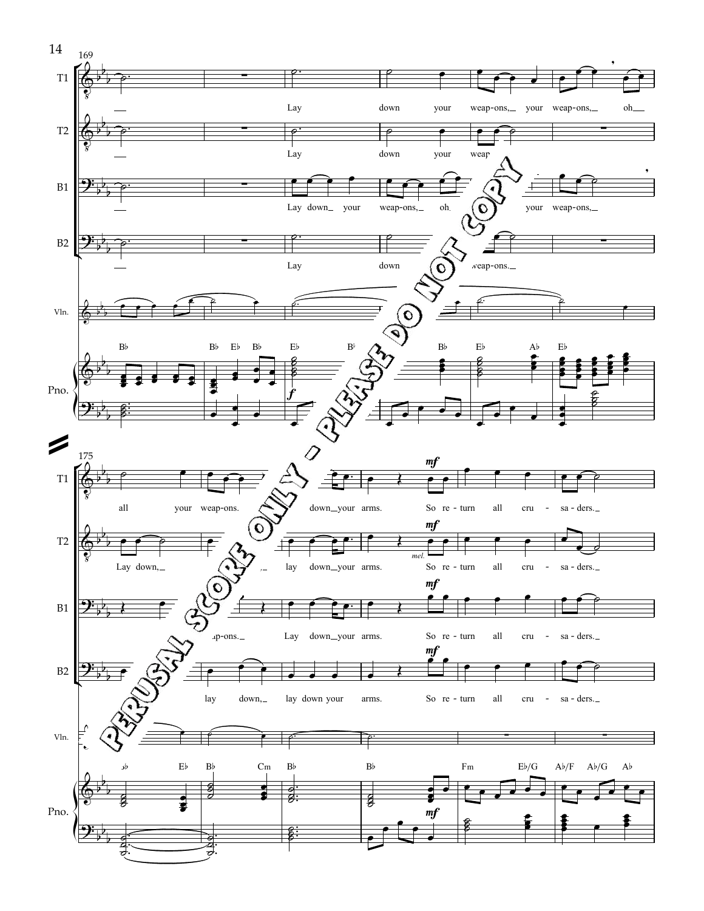![](_page_12_Figure_0.jpeg)